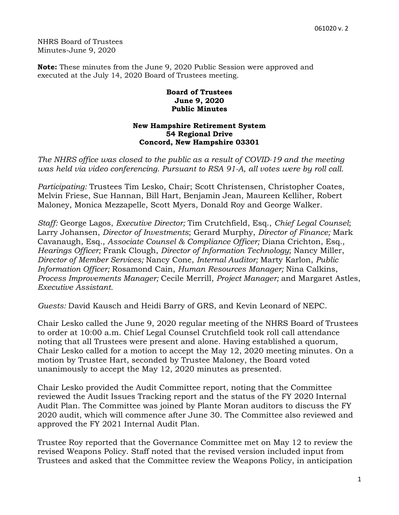NHRS Board of Trustees Minutes-June 9, 2020

**Note:** These minutes from the June 9, 2020 Public Session were approved and executed at the July 14, 2020 Board of Trustees meeting.

## **Board of Trustees June 9, 2020 Public Minutes**

## **New Hampshire Retirement System 54 Regional Drive Concord, New Hampshire 03301**

*The NHRS office was closed to the public as a result of COVID-19 and the meeting was held via video conferencing. Pursuant to RSA 91-A, all votes were by roll call.* 

*Participating:* Trustees Tim Lesko, Chair; Scott Christensen, Christopher Coates, Melvin Friese, Sue Hannan, Bill Hart, Benjamin Jean, Maureen Kelliher, Robert Maloney, Monica Mezzapelle, Scott Myers, Donald Roy and George Walker.

*Staff:* George Lagos, *Executive Director;* Tim Crutchfield, Esq., *Chief Legal Counsel*; Larry Johansen, *Director of Investments*; Gerard Murphy, *Director of Finance;* Mark Cavanaugh, Esq., *Associate Counsel & Compliance Officer;* Diana Crichton, Esq.*, Hearings Officer;* Frank Clough, *Director of Information Technology*; Nancy Miller, *Director of Member Services;* Nancy Cone, *Internal Auditor;* Marty Karlon, *Public Information Officer;* Rosamond Cain, *Human Resources Manager;* Nina Calkins, *Process Improvements Manager;* Cecile Merrill, *Project Manager;* and Margaret Astles, *Executive Assistant.* 

*Guests:* David Kausch and Heidi Barry of GRS, and Kevin Leonard of NEPC.

Chair Lesko called the June 9, 2020 regular meeting of the NHRS Board of Trustees to order at 10:00 a.m. Chief Legal Counsel Crutchfield took roll call attendance noting that all Trustees were present and alone. Having established a quorum, Chair Lesko called for a motion to accept the May 12, 2020 meeting minutes. On a motion by Trustee Hart, seconded by Trustee Maloney, the Board voted unanimously to accept the May 12, 2020 minutes as presented.

Chair Lesko provided the Audit Committee report, noting that the Committee reviewed the Audit Issues Tracking report and the status of the FY 2020 Internal Audit Plan. The Committee was joined by Plante Moran auditors to discuss the FY 2020 audit, which will commence after June 30. The Committee also reviewed and approved the FY 2021 Internal Audit Plan.

Trustee Roy reported that the Governance Committee met on May 12 to review the revised Weapons Policy. Staff noted that the revised version included input from Trustees and asked that the Committee review the Weapons Policy, in anticipation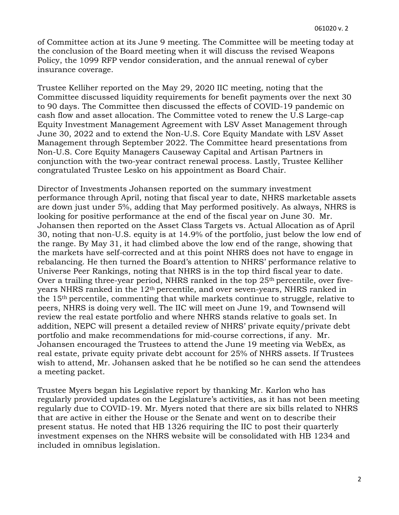of Committee action at its June 9 meeting. The Committee will be meeting today at the conclusion of the Board meeting when it will discuss the revised Weapons Policy, the 1099 RFP vendor consideration, and the annual renewal of cyber insurance coverage.

Trustee Kelliher reported on the May 29, 2020 IIC meeting, noting that the Committee discussed liquidity requirements for benefit payments over the next 30 to 90 days. The Committee then discussed the effects of COVID-19 pandemic on cash flow and asset allocation. The Committee voted to renew the U.S Large-cap Equity Investment Management Agreement with LSV Asset Management through June 30, 2022 and to extend the Non-U.S. Core Equity Mandate with LSV Asset Management through September 2022. The Committee heard presentations from Non-U.S. Core Equity Managers Causeway Capital and Artisan Partners in conjunction with the two-year contract renewal process. Lastly, Trustee Kelliher congratulated Trustee Lesko on his appointment as Board Chair.

Director of Investments Johansen reported on the summary investment performance through April, noting that fiscal year to date, NHRS marketable assets are down just under 5%, adding that May performed positively. As always, NHRS is looking for positive performance at the end of the fiscal year on June 30. Mr. Johansen then reported on the Asset Class Targets vs. Actual Allocation as of April 30, noting that non-U.S. equity is at 14.9% of the portfolio, just below the low end of the range. By May 31, it had climbed above the low end of the range, showing that the markets have self-corrected and at this point NHRS does not have to engage in rebalancing. He then turned the Board's attention to NHRS' performance relative to Universe Peer Rankings, noting that NHRS is in the top third fiscal year to date. Over a trailing three-year period, NHRS ranked in the top 25<sup>th</sup> percentile, over fiveyears NHRS ranked in the 12th percentile, and over seven-years, NHRS ranked in the 15th percentile, commenting that while markets continue to struggle, relative to peers, NHRS is doing very well. The IIC will meet on June 19, and Townsend will review the real estate portfolio and where NHRS stands relative to goals set. In addition, NEPC will present a detailed review of NHRS' private equity/private debt portfolio and make recommendations for mid-course corrections, if any. Mr. Johansen encouraged the Trustees to attend the June 19 meeting via WebEx, as real estate, private equity private debt account for 25% of NHRS assets. If Trustees wish to attend, Mr. Johansen asked that he be notified so he can send the attendees a meeting packet.

Trustee Myers began his Legislative report by thanking Mr. Karlon who has regularly provided updates on the Legislature's activities, as it has not been meeting regularly due to COVID-19. Mr. Myers noted that there are six bills related to NHRS that are active in either the House or the Senate and went on to describe their present status. He noted that HB 1326 requiring the IIC to post their quarterly investment expenses on the NHRS website will be consolidated with HB 1234 and included in omnibus legislation.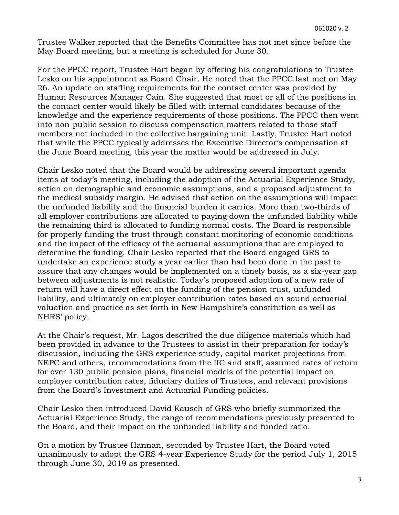Trustee Walker reported that the Benefits Committee has not met since before the May Board meeting, but a meeting is scheduled for June 30.

For the PPCC report, Trustee Hart began by offering his congratulations to Trustee Lesko on his appointment as Board Chair. He noted that the PPCC last met on May 26. An update on staffing requirements for the contact center was provided by Human Resources Manager Cain. She suggested that most or all of the positions in the contact center would likely be filled with internal candidates because of the knowledge and the experience requirements of those positions. The PPCC then went into non-public session to discuss compensation matters related to those staff members not included in the collective bargaining unit. Lastly, Trustee Hart noted that while the PPCC typically addresses the Executive Director's compensation at the June Board meeting, this year the matter would be addressed in July.

Chair Lesko noted that the Board would be addressing several important agenda items at today's meeting, including the adoption of the Actuarial Experience Study, action on demographic and economic assumptions, and a proposed adjustment to the medical subsidy margin. He advised that action on the assumptions will impact the unfunded liability and the financial burden it carries. More than two-thirds of all employer contributions are allocated to paying down the unfunded liability while the remaining third is allocated to funding normal costs. The Board is responsible for properly funding the trust through constant monitoring of economic conditions and the impact of the efficacy of the actuarial assumptions that are employed to determine the funding. Chair Lesko reported that the Board engaged GRS to undertake an experience study a year earlier than had been done in the past to assure that any changes would be implemented on a timely basis, as a six-year gap between adjustments is not realistic. Today's proposed adoption of a new rate of return will have a direct effect on the funding of the pension trust, unfunded liability, and ultimately on employer contribution rates based on sound actuarial valuation and practice as set forth in New Hampshire's constitution as well as NHRS' policy.

At the Chair's request, Mr. Lagos described the due diligence materials which had been provided in advance to the Trustees to assist in their preparation for today's discussion, including the GRS experience study, capital market projections from NEPC and others, recommendations from the IIC and staff, assumed rates of return for over 130 public pension plans, financial models of the potential impact on employer contribution rates, fiduciary duties of Trustees, and relevant provisions from the Board's Investment and Actuarial Funding policies.

Chair Lesko then introduced David Kausch of GRS who briefly summarized the Actuarial Experience Study, the range of recommendations previously presented to the Board, and their impact on the unfunded liability and funded ratio.

On a motion by Trustee Hannan, seconded by Trustee Hart, the Board voted unanimously to adopt the GRS 4-year Experience Study for the period July 1, 2015 through June 30, 2019 as presented.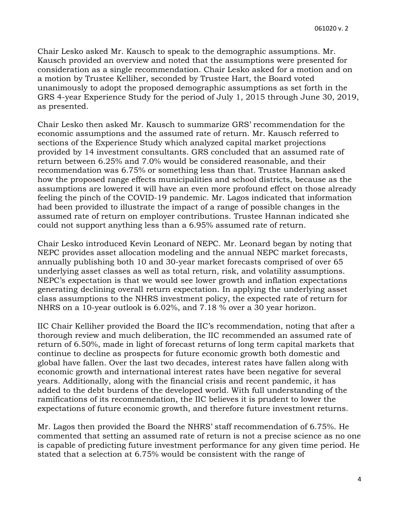Chair Lesko asked Mr. Kausch to speak to the demographic assumptions. Mr. Kausch provided an overview and noted that the assumptions were presented for consideration as a single recommendation. Chair Lesko asked for a motion and on a motion by Trustee Kelliher, seconded by Trustee Hart, the Board voted unanimously to adopt the proposed demographic assumptions as set forth in the GRS 4-year Experience Study for the period of July 1, 2015 through June 30, 2019, as presented.

Chair Lesko then asked Mr. Kausch to summarize GRS' recommendation for the economic assumptions and the assumed rate of return. Mr. Kausch referred to sections of the Experience Study which analyzed capital market projections provided by 14 investment consultants. GRS concluded that an assumed rate of return between 6.25% and 7.0% would be considered reasonable, and their recommendation was 6.75% or something less than that. Trustee Hannan asked how the proposed range effects municipalities and school districts, because as the assumptions are lowered it will have an even more profound effect on those already feeling the pinch of the COVID-19 pandemic. Mr. Lagos indicated that information had been provided to illustrate the impact of a range of possible changes in the assumed rate of return on employer contributions. Trustee Hannan indicated she could not support anything less than a 6.95% assumed rate of return.

Chair Lesko introduced Kevin Leonard of NEPC. Mr. Leonard began by noting that NEPC provides asset allocation modeling and the annual NEPC market forecasts, annually publishing both 10 and 30-year market forecasts comprised of over 65 underlying asset classes as well as total return, risk, and volatility assumptions. NEPC's expectation is that we would see lower growth and inflation expectations generating declining overall return expectation. In applying the underlying asset class assumptions to the NHRS investment policy, the expected rate of return for NHRS on a 10-year outlook is 6.02%, and 7.18 % over a 30 year horizon.

IIC Chair Kelliher provided the Board the IIC's recommendation, noting that after a thorough review and much deliberation, the IIC recommended an assumed rate of return of 6.50%, made in light of forecast returns of long term capital markets that continue to decline as prospects for future economic growth both domestic and global have fallen. Over the last two decades, interest rates have fallen along with economic growth and international interest rates have been negative for several years. Additionally, along with the financial crisis and recent pandemic, it has added to the debt burdens of the developed world. With full understanding of the ramifications of its recommendation, the IIC believes it is prudent to lower the expectations of future economic growth, and therefore future investment returns.

Mr. Lagos then provided the Board the NHRS' staff recommendation of 6.75%. He commented that setting an assumed rate of return is not a precise science as no one is capable of predicting future investment performance for any given time period. He stated that a selection at 6.75% would be consistent with the range of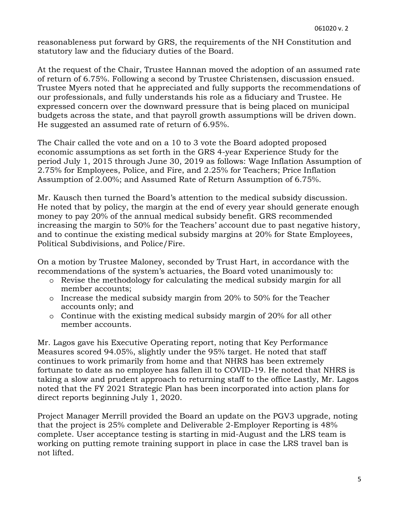reasonableness put forward by GRS, the requirements of the NH Constitution and statutory law and the fiduciary duties of the Board.

At the request of the Chair, Trustee Hannan moved the adoption of an assumed rate of return of 6.75%. Following a second by Trustee Christensen, discussion ensued. Trustee Myers noted that he appreciated and fully supports the recommendations of our professionals, and fully understands his role as a fiduciary and Trustee. He expressed concern over the downward pressure that is being placed on municipal budgets across the state, and that payroll growth assumptions will be driven down. He suggested an assumed rate of return of 6.95%.

The Chair called the vote and on a 10 to 3 vote the Board adopted proposed economic assumptions as set forth in the GRS 4-year Experience Study for the period July 1, 2015 through June 30, 2019 as follows: Wage Inflation Assumption of 2.75% for Employees, Police, and Fire, and 2.25% for Teachers; Price Inflation Assumption of 2.00%; and Assumed Rate of Return Assumption of 6.75%.

Mr. Kausch then turned the Board's attention to the medical subsidy discussion. He noted that by policy, the margin at the end of every year should generate enough money to pay 20% of the annual medical subsidy benefit. GRS recommended increasing the margin to 50% for the Teachers' account due to past negative history, and to continue the existing medical subsidy margins at 20% for State Employees, Political Subdivisions, and Police/Fire.

On a motion by Trustee Maloney, seconded by Trust Hart, in accordance with the recommendations of the system's actuaries, the Board voted unanimously to:

- o Revise the methodology for calculating the medical subsidy margin for all member accounts;
- o Increase the medical subsidy margin from 20% to 50% for the Teacher accounts only; and
- o Continue with the existing medical subsidy margin of 20% for all other member accounts.

Mr. Lagos gave his Executive Operating report, noting that Key Performance Measures scored 94.05%, slightly under the 95% target. He noted that staff continues to work primarily from home and that NHRS has been extremely fortunate to date as no employee has fallen ill to COVID-19. He noted that NHRS is taking a slow and prudent approach to returning staff to the office Lastly, Mr. Lagos noted that the FY 2021 Strategic Plan has been incorporated into action plans for direct reports beginning July 1, 2020.

Project Manager Merrill provided the Board an update on the PGV3 upgrade, noting that the project is 25% complete and Deliverable 2-Employer Reporting is 48% complete. User acceptance testing is starting in mid-August and the LRS team is working on putting remote training support in place in case the LRS travel ban is not lifted.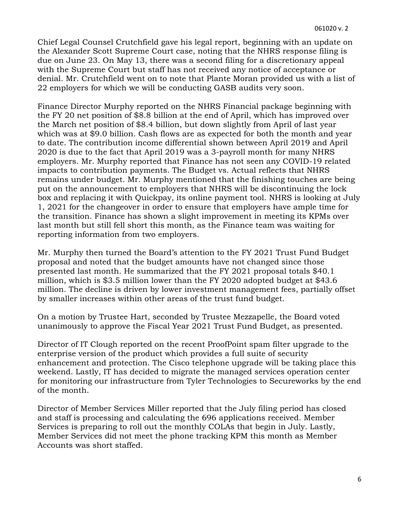Chief Legal Counsel Crutchfield gave his legal report, beginning with an update on the Alexander Scott Supreme Court case, noting that the NHRS response filing is due on June 23. On May 13, there was a second filing for a discretionary appeal with the Supreme Court but staff has not received any notice of acceptance or denial. Mr. Crutchfield went on to note that Plante Moran provided us with a list of 22 employers for which we will be conducting GASB audits very soon.

Finance Director Murphy reported on the NHRS Financial package beginning with the FY 20 net position of \$8.8 billion at the end of April, which has improved over the March net position of \$8.4 billion, but down slightly from April of last year which was at \$9.0 billion. Cash flows are as expected for both the month and year to date. The contribution income differential shown between April 2019 and April 2020 is due to the fact that April 2019 was a 3-payroll month for many NHRS employers. Mr. Murphy reported that Finance has not seen any COVID-19 related impacts to contribution payments. The Budget vs. Actual reflects that NHRS remains under budget. Mr. Murphy mentioned that the finishing touches are being put on the announcement to employers that NHRS will be discontinuing the lock box and replacing it with Quickpay, its online payment tool. NHRS is looking at July 1, 2021 for the changeover in order to ensure that employers have ample time for the transition. Finance has shown a slight improvement in meeting its KPMs over last month but still fell short this month, as the Finance team was waiting for reporting information from two employers.

Mr. Murphy then turned the Board's attention to the FY 2021 Trust Fund Budget proposal and noted that the budget amounts have not changed since those presented last month. He summarized that the FY 2021 proposal totals \$40.1 million, which is \$3.5 million lower than the FY 2020 adopted budget at \$43.6 million. The decline is driven by lower investment management fees, partially offset by smaller increases within other areas of the trust fund budget.

On a motion by Trustee Hart, seconded by Trustee Mezzapelle, the Board voted unanimously to approve the Fiscal Year 2021 Trust Fund Budget, as presented.

Director of IT Clough reported on the recent ProofPoint spam filter upgrade to the enterprise version of the product which provides a full suite of security enhancement and protection. The Cisco telephone upgrade will be taking place this weekend. Lastly, IT has decided to migrate the managed services operation center for monitoring our infrastructure from Tyler Technologies to Secureworks by the end of the month.

Director of Member Services Miller reported that the July filing period has closed and staff is processing and calculating the 696 applications received. Member Services is preparing to roll out the monthly COLAs that begin in July. Lastly, Member Services did not meet the phone tracking KPM this month as Member Accounts was short staffed.